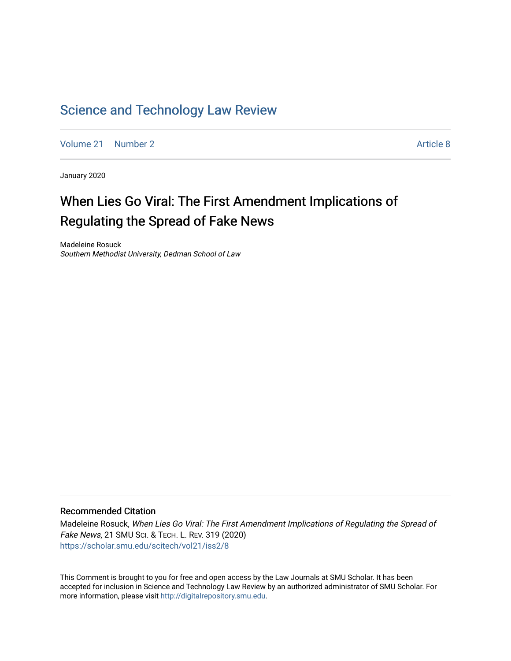## [Science and Technology Law Review](https://scholar.smu.edu/scitech)

[Volume 21](https://scholar.smu.edu/scitech/vol21) | [Number 2](https://scholar.smu.edu/scitech/vol21/iss2) Article 8

January 2020

# When Lies Go Viral: The First Amendment Implications of Regulating the Spread of Fake News

Madeleine Rosuck Southern Methodist University, Dedman School of Law

## Recommended Citation

Madeleine Rosuck, When Lies Go Viral: The First Amendment Implications of Regulating the Spread of Fake News, 21 SMU SCI. & TECH. L. REV. 319 (2020) [https://scholar.smu.edu/scitech/vol21/iss2/8](https://scholar.smu.edu/scitech/vol21/iss2/8?utm_source=scholar.smu.edu%2Fscitech%2Fvol21%2Fiss2%2F8&utm_medium=PDF&utm_campaign=PDFCoverPages)

This Comment is brought to you for free and open access by the Law Journals at SMU Scholar. It has been accepted for inclusion in Science and Technology Law Review by an authorized administrator of SMU Scholar. For more information, please visit [http://digitalrepository.smu.edu](http://digitalrepository.smu.edu/).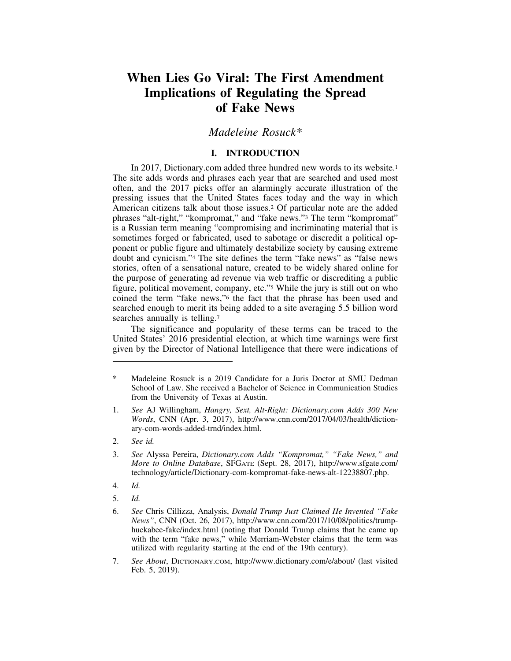## **When Lies Go Viral: The First Amendment Implications of Regulating the Spread of Fake News**

## *Madeleine Rosuck\**

## **I. INTRODUCTION**

In 2017, Dictionary.com added three hundred new words to its website.1 The site adds words and phrases each year that are searched and used most often, and the 2017 picks offer an alarmingly accurate illustration of the pressing issues that the United States faces today and the way in which American citizens talk about those issues.2 Of particular note are the added phrases "alt-right," "kompromat," and "fake news."3 The term "kompromat" is a Russian term meaning "compromising and incriminating material that is sometimes forged or fabricated, used to sabotage or discredit a political opponent or public figure and ultimately destabilize society by causing extreme doubt and cynicism."4 The site defines the term "fake news" as "false news stories, often of a sensational nature, created to be widely shared online for the purpose of generating ad revenue via web traffic or discrediting a public figure, political movement, company, etc."5 While the jury is still out on who coined the term "fake news,"6 the fact that the phrase has been used and searched enough to merit its being added to a site averaging 5.5 billion word searches annually is telling.<sup>7</sup>

The significance and popularity of these terms can be traced to the United States' 2016 presidential election, at which time warnings were first given by the Director of National Intelligence that there were indications of

- 1. *See* AJ Willingham, *Hangry, Sext, Alt-Right: Dictionary.com Adds 300 New Words*, CNN (Apr. 3, 2017), http://www.cnn.com/2017/04/03/health/dictionary-com-words-added-trnd/index.html.
- 2. *See id.*

- 4. *Id.*
- 5. *Id.*

Madeleine Rosuck is a 2019 Candidate for a Juris Doctor at SMU Dedman School of Law. She received a Bachelor of Science in Communication Studies from the University of Texas at Austin.

<sup>3.</sup> *See* Alyssa Pereira, *Dictionary.com Adds "Kompromat," "Fake News," and More to Online Database*, SFGATE (Sept. 28, 2017), http://www.sfgate.com/ technology/article/Dictionary-com-kompromat-fake-news-alt-12238807.php.

<sup>6.</sup> *See* Chris Cillizza, Analysis, *Donald Trump Just Claimed He Invented "Fake News"*, CNN (Oct. 26, 2017), http://www.cnn.com/2017/10/08/politics/trumphuckabee-fake/index.html (noting that Donald Trump claims that he came up with the term "fake news," while Merriam-Webster claims that the term was utilized with regularity starting at the end of the 19th century).

<sup>7.</sup> *See About*, DICTIONARY.COM, http://www.dictionary.com/e/about/ (last visited Feb. 5, 2019).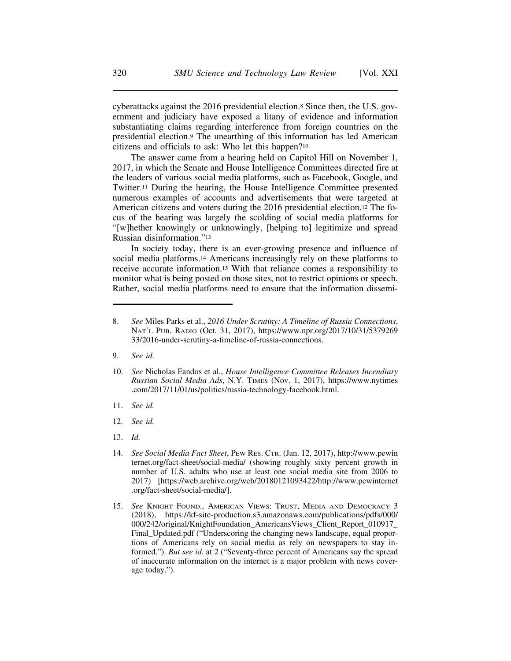cyberattacks against the 2016 presidential election.8 Since then, the U.S. government and judiciary have exposed a litany of evidence and information substantiating claims regarding interference from foreign countries on the presidential election.9 The unearthing of this information has led American citizens and officials to ask: Who let this happen?10

The answer came from a hearing held on Capitol Hill on November 1, 2017, in which the Senate and House Intelligence Committees directed fire at the leaders of various social media platforms, such as Facebook, Google, and Twitter.11 During the hearing, the House Intelligence Committee presented numerous examples of accounts and advertisements that were targeted at American citizens and voters during the 2016 presidential election.12 The focus of the hearing was largely the scolding of social media platforms for "[w]hether knowingly or unknowingly, [helping to] legitimize and spread Russian disinformation."13

In society today, there is an ever-growing presence and influence of social media platforms.14 Americans increasingly rely on these platforms to receive accurate information.15 With that reliance comes a responsibility to monitor what is being posted on those sites, not to restrict opinions or speech. Rather, social media platforms need to ensure that the information dissemi-

9. *See id.*

- 11. *See id.*
- 12. *See id.*
- 13. *Id.*

<sup>8.</sup> *See* Miles Parks et al., *2016 Under Scrutiny: A Timeline of Russia Connections*, NAT'L PUB. RADIO (Oct. 31, 2017), https://www.npr.org/2017/10/31/5379269 33/2016-under-scrutiny-a-timeline-of-russia-connections.

<sup>10.</sup> *See* Nicholas Fandos et al., *House Intelligence Committee Releases Incendiary Russian Social Media Ads*, N.Y. TIMES (Nov. 1, 2017), https://www.nytimes .com/2017/11/01/us/politics/russia-technology-facebook.html.

<sup>14.</sup> *See Social Media Fact Sheet*, PEW RES. CTR. (Jan. 12, 2017), http://www.pewin ternet.org/fact-sheet/social-media/ (showing roughly sixty percent growth in number of U.S. adults who use at least one social media site from 2006 to 2017) [https://web.archive.org/web/20180121093422/http://www.pewinternet .org/fact-sheet/social-media/].

<sup>15.</sup> *See* KNIGHT FOUND., AMERICAN VIEWS: TRUST, MEDIA AND DEMOCRACY 3 (2018), https://kf-site-production.s3.amazonaws.com/publications/pdfs/000/ 000/242/original/KnightFoundation\_AmericansViews\_Client\_Report\_010917\_ Final\_Updated.pdf ("Underscoring the changing news landscape, equal proportions of Americans rely on social media as rely on newspapers to stay informed."). *But see id.* at 2 ("Seventy-three percent of Americans say the spread of inaccurate information on the internet is a major problem with news coverage today.").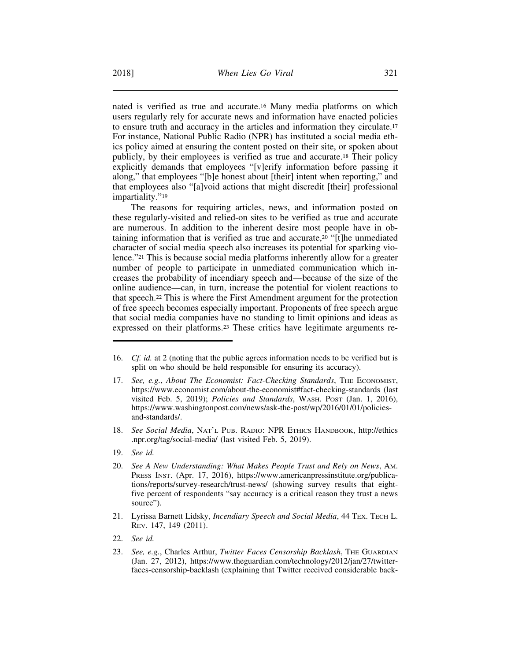nated is verified as true and accurate.16 Many media platforms on which users regularly rely for accurate news and information have enacted policies to ensure truth and accuracy in the articles and information they circulate.17 For instance, National Public Radio (NPR) has instituted a social media ethics policy aimed at ensuring the content posted on their site, or spoken about publicly, by their employees is verified as true and accurate.18 Their policy explicitly demands that employees "[v]erify information before passing it along," that employees "[b]e honest about [their] intent when reporting," and that employees also "[a]void actions that might discredit [their] professional impartiality."<sup>19</sup>

The reasons for requiring articles, news, and information posted on these regularly-visited and relied-on sites to be verified as true and accurate are numerous. In addition to the inherent desire most people have in obtaining information that is verified as true and accurate,20 "[t]he unmediated character of social media speech also increases its potential for sparking violence."21 This is because social media platforms inherently allow for a greater number of people to participate in unmediated communication which increases the probability of incendiary speech and—because of the size of the online audience—can, in turn, increase the potential for violent reactions to that speech.22 This is where the First Amendment argument for the protection of free speech becomes especially important. Proponents of free speech argue that social media companies have no standing to limit opinions and ideas as expressed on their platforms.23 These critics have legitimate arguments re-

- 18. *See Social Media*, NAT'L PUB. RADIO: NPR ETHICS HANDBOOK, http://ethics .npr.org/tag/social-media/ (last visited Feb. 5, 2019).
- 19. *See id.*
- 20. *See A New Understanding: What Makes People Trust and Rely on News*, AM. PRESS INST. (Apr. 17, 2016), https://www.americanpressinstitute.org/publications/reports/survey-research/trust-news/ (showing survey results that eightfive percent of respondents "say accuracy is a critical reason they trust a news source").
- 21. Lyrissa Barnett Lidsky, *Incendiary Speech and Social Media*, 44 TEX. TECH L. REV. 147, 149 (2011).
- 22. *See id.*
- 23. *See, e.g.*, Charles Arthur, *Twitter Faces Censorship Backlash*, THE GUARDIAN (Jan. 27, 2012), https://www.theguardian.com/technology/2012/jan/27/twitterfaces-censorship-backlash (explaining that Twitter received considerable back-

<sup>16.</sup> *Cf. id.* at 2 (noting that the public agrees information needs to be verified but is split on who should be held responsible for ensuring its accuracy).

<sup>17.</sup> *See, e.g., About The Economist: Fact-Checking Standards*, THE ECONOMIST, https://www.economist.com/about-the-economist#fact-checking-standards (last visited Feb. 5, 2019); *Policies and Standards*, WASH. POST (Jan. 1, 2016), https://www.washingtonpost.com/news/ask-the-post/wp/2016/01/01/policiesand-standards/.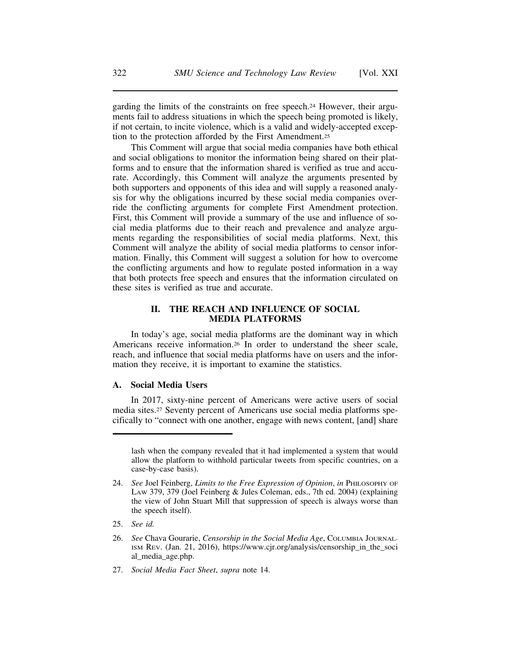garding the limits of the constraints on free speech.24 However, their arguments fail to address situations in which the speech being promoted is likely, if not certain, to incite violence, which is a valid and widely-accepted exception to the protection afforded by the First Amendment.25

This Comment will argue that social media companies have both ethical and social obligations to monitor the information being shared on their platforms and to ensure that the information shared is verified as true and accurate. Accordingly, this Comment will analyze the arguments presented by both supporters and opponents of this idea and will supply a reasoned analysis for why the obligations incurred by these social media companies override the conflicting arguments for complete First Amendment protection. First, this Comment will provide a summary of the use and influence of social media platforms due to their reach and prevalence and analyze arguments regarding the responsibilities of social media platforms. Next, this Comment will analyze the ability of social media platforms to censor information. Finally, this Comment will suggest a solution for how to overcome the conflicting arguments and how to regulate posted information in a way that both protects free speech and ensures that the information circulated on these sites is verified as true and accurate.

## **II. THE REACH AND INFLUENCE OF SOCIAL MEDIA PLATFORMS**

In today's age, social media platforms are the dominant way in which Americans receive information.26 In order to understand the sheer scale, reach, and influence that social media platforms have on users and the information they receive, it is important to examine the statistics.

## **A. Social Media Users**

In 2017, sixty-nine percent of Americans were active users of social media sites.27 Seventy percent of Americans use social media platforms specifically to "connect with one another, engage with news content, [and] share

27. *Social Media Fact Sheet*, *supra* note 14.

lash when the company revealed that it had implemented a system that would allow the platform to withhold particular tweets from specific countries, on a case-by-case basis).

<sup>24.</sup> *See* Joel Feinberg, *Limits to the Free Expression of Opinion*, *in* PHILOSOPHY OF LAW 379, 379 (Joel Feinberg & Jules Coleman, eds., 7th ed. 2004) (explaining the view of John Stuart Mill that suppression of speech is always worse than the speech itself).

<sup>25.</sup> *See id.*

<sup>26.</sup> *See* Chava Gourarie, *Censorship in the Social Media Age*, COLUMBIA JOURNAL-ISM REV. (Jan. 21, 2016), https://www.cjr.org/analysis/censorship\_in\_the\_soci al\_media\_age.php.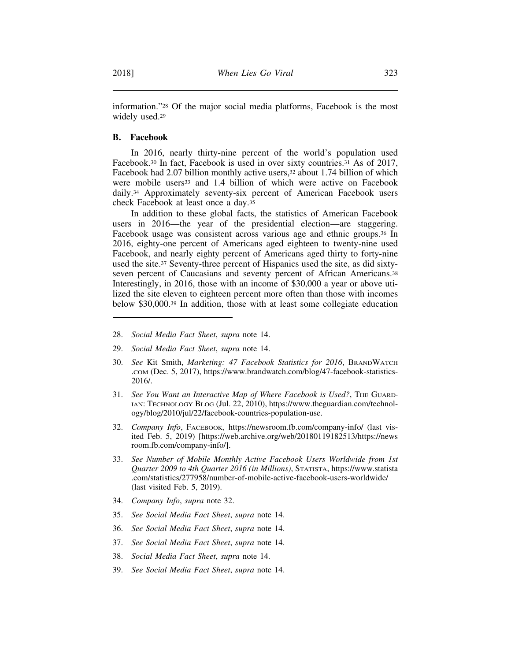information."28 Of the major social media platforms, Facebook is the most widely used.<sup>29</sup>

#### **B. Facebook**

In 2016, nearly thirty-nine percent of the world's population used Facebook.<sup>30</sup> In fact, Facebook is used in over sixty countries.<sup>31</sup> As of 2017, Facebook had 2.07 billion monthly active users,<sup>32</sup> about 1.74 billion of which were mobile users<sup>33</sup> and 1.4 billion of which were active on Facebook daily.34 Approximately seventy-six percent of American Facebook users check Facebook at least once a day.35

In addition to these global facts, the statistics of American Facebook users in 2016—the year of the presidential election—are staggering. Facebook usage was consistent across various age and ethnic groups.36 In 2016, eighty-one percent of Americans aged eighteen to twenty-nine used Facebook, and nearly eighty percent of Americans aged thirty to forty-nine used the site.37 Seventy-three percent of Hispanics used the site, as did sixtyseven percent of Caucasians and seventy percent of African Americans.<sup>38</sup> Interestingly, in 2016, those with an income of \$30,000 a year or above utilized the site eleven to eighteen percent more often than those with incomes below \$30,000.39 In addition, those with at least some collegiate education

- 29. *Social Media Fact Sheet*, *supra* note 14.
- 30. *See* Kit Smith, *Marketing: 47 Facebook Statistics for 2016*, BRANDWATCH .COM (Dec. 5, 2017), https://www.brandwatch.com/blog/47-facebook-statistics-2016/.
- 31. See You Want an Interactive Map of Where Facebook is Used?, THE GUARD-IAN: TECHNOLOGY BLOG (Jul. 22, 2010), https://www.theguardian.com/technology/blog/2010/jul/22/facebook-countries-population-use.
- 32. *Company Info*, FACEBOOK, https://newsroom.fb.com/company-info/ (last visited Feb. 5, 2019) [https://web.archive.org/web/20180119182513/https://news room.fb.com/company-info/].
- 33. *See Number of Mobile Monthly Active Facebook Users Worldwide from 1st Quarter 2009 to 4th Quarter 2016 (in Millions)*, STATISTA, https://www.statista .com/statistics/277958/number-of-mobile-active-facebook-users-worldwide/ (last visited Feb. 5, 2019).
- 34. *Company Info*, *supra* note 32.
- 35. *See Social Media Fact Sheet*, *supra* note 14.
- 36. *See Social Media Fact Sheet*, *supra* note 14.
- 37. *See Social Media Fact Sheet*, *supra* note 14.
- 38. *Social Media Fact Sheet*, *supra* note 14.
- 39. *See Social Media Fact Sheet*, *supra* note 14.

<sup>28.</sup> *Social Media Fact Sheet*, *supra* note 14.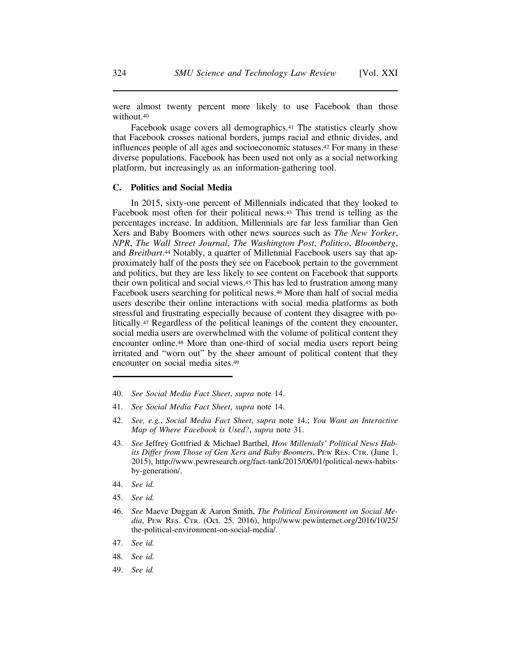were almost twenty percent more likely to use Facebook than those without.40

Facebook usage covers all demographics.<sup>41</sup> The statistics clearly show that Facebook crosses national borders, jumps racial and ethnic divides, and influences people of all ages and socioeconomic statuses.42 For many in these diverse populations, Facebook has been used not only as a social networking platform, but increasingly as an information-gathering tool.

#### **C. Politics and Social Media**

In 2015, sixty-one percent of Millennials indicated that they looked to Facebook most often for their political news.43 This trend is telling as the percentages increase. In addition, Millennials are far less familiar than Gen Xers and Baby Boomers with other news sources such as *The New Yorker*, *NPR*, *The Wall Street Journal*, *The Washington Post*, *Politico*, *Bloomberg*, and *Breitbart*.44 Notably, a quarter of Millennial Facebook users say that approximately half of the posts they see on Facebook pertain to the government and politics, but they are less likely to see content on Facebook that supports their own political and social views.45 This has led to frustration among many Facebook users searching for political news.46 More than half of social media users describe their online interactions with social media platforms as both stressful and frustrating especially because of content they disagree with politically.47 Regardless of the political leanings of the content they encounter, social media users are overwhelmed with the volume of political content they encounter online.48 More than one-third of social media users report being irritated and "worn out" by the sheer amount of political content that they encounter on social media sites.49

- 40. *See Social Media Fact Sheet*, *supra* note 14.
- 41. *See Social Media Fact Sheet*, *supra* note 14.
- 42. *See, e.g.*, *Social Media Fact Sheet*, *supra* note 14.; *You Want an Interactive Map of Where Facebook is Used?*, *supra* note 31.
- 43. *See* Jeffrey Gottfried & Michael Barthel, *How Millenials' Political News Habits Differ from Those of Gen Xers and Baby Boomers*, PEW RES. CTR. (June 1, 2015), http://www.pewresearch.org/fact-tank/2015/06/01/political-news-habitsby-generation/.
- 44. *See id.*
- 45. *See id.*
- 46. *See* Maeve Duggan & Aaron Smith, *The Political Environment on Social Media*, PEW RES. CTR. (Oct. 25. 2016), http://www.pewinternet.org/2016/10/25/ the-political-environment-on-social-media/.
- 47. *See id.*
- 48. *See id.*
- 49. *See id.*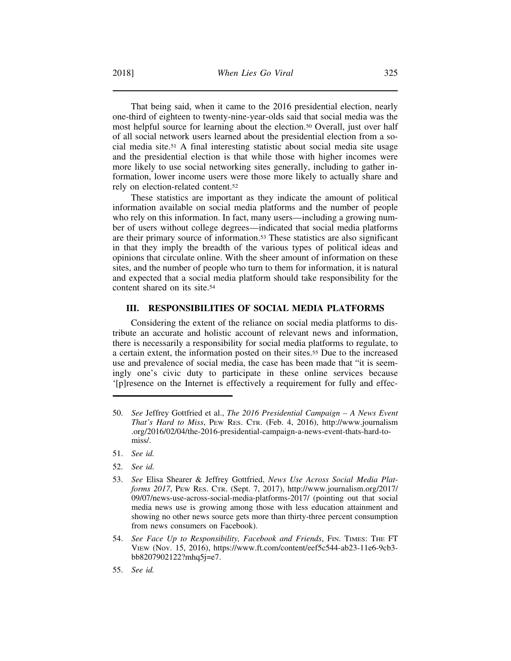That being said, when it came to the 2016 presidential election, nearly one-third of eighteen to twenty-nine-year-olds said that social media was the most helpful source for learning about the election.50 Overall, just over half of all social network users learned about the presidential election from a social media site.51 A final interesting statistic about social media site usage and the presidential election is that while those with higher incomes were more likely to use social networking sites generally, including to gather information, lower income users were those more likely to actually share and rely on election-related content.52

These statistics are important as they indicate the amount of political information available on social media platforms and the number of people who rely on this information. In fact, many users—including a growing number of users without college degrees—indicated that social media platforms are their primary source of information.53 These statistics are also significant in that they imply the breadth of the various types of political ideas and opinions that circulate online. With the sheer amount of information on these sites, and the number of people who turn to them for information, it is natural and expected that a social media platform should take responsibility for the content shared on its site.54

#### **III. RESPONSIBILITIES OF SOCIAL MEDIA PLATFORMS**

Considering the extent of the reliance on social media platforms to distribute an accurate and holistic account of relevant news and information, there is necessarily a responsibility for social media platforms to regulate, to a certain extent, the information posted on their sites.55 Due to the increased use and prevalence of social media, the case has been made that "it is seemingly one's civic duty to participate in these online services because '[p]resence on the Internet is effectively a requirement for fully and effec-

- 51. *See id.*
- 52. *See id.*

54. *See Face Up to Responsibility, Facebook and Friends*, FIN. TIMES: THE FT VIEW (Nov. 15, 2016), https://www.ft.com/content/eef5c544-ab23-11e6-9cb3 bb8207902122?mhq5j=e7.

<sup>50.</sup> *See* Jeffrey Gottfried et al., *The 2016 Presidential Campaign – A News Event That's Hard to Miss*, PEW RES. CTR. (Feb. 4, 2016), http://www.journalism .org/2016/02/04/the-2016-presidential-campaign-a-news-event-thats-hard-tomiss/.

<sup>53.</sup> *See* Elisa Shearer & Jeffrey Gottfried, *News Use Across Social Media Platforms 2017*, PEW RES. CTR. (Sept. 7, 2017), http://www.journalism.org/2017/ 09/07/news-use-across-social-media-platforms-2017/ (pointing out that social media news use is growing among those with less education attainment and showing no other news source gets more than thirty-three percent consumption from news consumers on Facebook).

<sup>55.</sup> *See id.*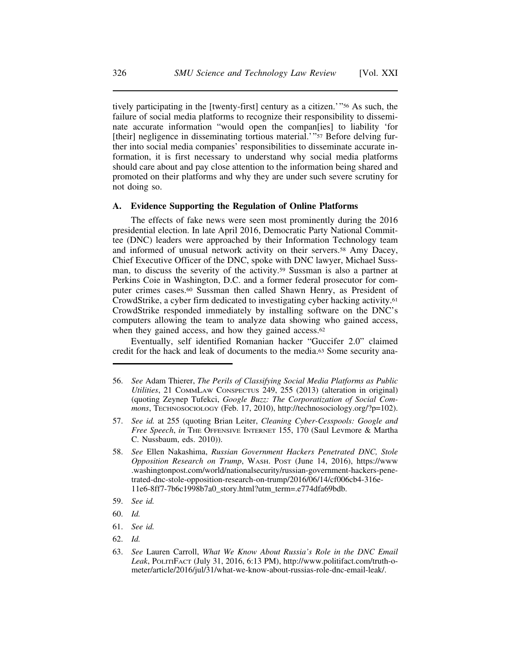tively participating in the [twenty-first] century as a citizen.'"56 As such, the failure of social media platforms to recognize their responsibility to disseminate accurate information "would open the compan[ies] to liability 'for [their] negligence in disseminating tortious material.'"<sup>57</sup> Before delving further into social media companies' responsibilities to disseminate accurate information, it is first necessary to understand why social media platforms should care about and pay close attention to the information being shared and promoted on their platforms and why they are under such severe scrutiny for not doing so.

#### **A. Evidence Supporting the Regulation of Online Platforms**

The effects of fake news were seen most prominently during the 2016 presidential election. In late April 2016, Democratic Party National Committee (DNC) leaders were approached by their Information Technology team and informed of unusual network activity on their servers.58 Amy Dacey, Chief Executive Officer of the DNC, spoke with DNC lawyer, Michael Sussman, to discuss the severity of the activity.59 Sussman is also a partner at Perkins Coie in Washington, D.C. and a former federal prosecutor for computer crimes cases.60 Sussman then called Shawn Henry, as President of CrowdStrike, a cyber firm dedicated to investigating cyber hacking activity.61 CrowdStrike responded immediately by installing software on the DNC's computers allowing the team to analyze data showing who gained access, when they gained access, and how they gained access.<sup>62</sup>

Eventually, self identified Romanian hacker "Guccifer 2.0" claimed credit for the hack and leak of documents to the media.63 Some security ana-

- 61. *See id.*
- 62. *Id.*

<sup>56.</sup> *See* Adam Thierer, *The Perils of Classifying Social Media Platforms as Public Utilities*, 21 COMMLAW CONSPECTUS 249, 255 (2013) (alteration in original) (quoting Zeynep Tufekci, *Google Buzz: The Corporatization of Social Commons*, TECHNOSOCIOLOGY (Feb. 17, 2010), http://technosociology.org/?p=102).

<sup>57.</sup> *See id.* at 255 (quoting Brian Leiter, *Cleaning Cyber-Cesspools: Google and Free Speech*, *in* THE OFFENSIVE INTERNET 155, 170 (Saul Levmore & Martha C. Nussbaum, eds. 2010)).

<sup>58.</sup> *See* Ellen Nakashima, *Russian Government Hackers Penetrated DNC, Stole Opposition Research on Trump*, WASH. POST (June 14, 2016), https://www .washingtonpost.com/world/nationalsecurity/russian-government-hackers-penetrated-dnc-stole-opposition-research-on-trump/2016/06/14/cf006cb4-316e-11e6-8ff7-7b6c1998b7a0\_story.html?utm\_term=.e774dfa69bdb.

<sup>59.</sup> *See id.*

<sup>60.</sup> *Id.*

<sup>63.</sup> *See* Lauren Carroll, *What We Know About Russia's Role in the DNC Email Leak*, POLITIFACT (July 31, 2016, 6:13 PM), http://www.politifact.com/truth-ometer/article/2016/jul/31/what-we-know-about-russias-role-dnc-email-leak/.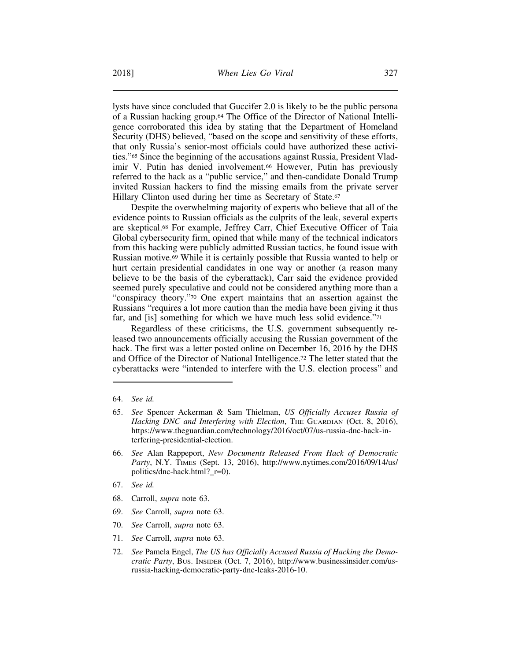lysts have since concluded that Guccifer 2.0 is likely to be the public persona of a Russian hacking group.64 The Office of the Director of National Intelligence corroborated this idea by stating that the Department of Homeland Security (DHS) believed, "based on the scope and sensitivity of these efforts, that only Russia's senior-most officials could have authorized these activities."65 Since the beginning of the accusations against Russia, President Vladimir V. Putin has denied involvement.66 However, Putin has previously referred to the hack as a "public service," and then-candidate Donald Trump invited Russian hackers to find the missing emails from the private server Hillary Clinton used during her time as Secretary of State.<sup>67</sup>

Despite the overwhelming majority of experts who believe that all of the evidence points to Russian officials as the culprits of the leak, several experts are skeptical.68 For example, Jeffrey Carr, Chief Executive Officer of Taia Global cybersecurity firm, opined that while many of the technical indicators from this hacking were publicly admitted Russian tactics, he found issue with Russian motive.69 While it is certainly possible that Russia wanted to help or hurt certain presidential candidates in one way or another (a reason many believe to be the basis of the cyberattack), Carr said the evidence provided seemed purely speculative and could not be considered anything more than a "conspiracy theory."70 One expert maintains that an assertion against the Russians "requires a lot more caution than the media have been giving it thus far, and [is] something for which we have much less solid evidence."71

Regardless of these criticisms, the U.S. government subsequently released two announcements officially accusing the Russian government of the hack. The first was a letter posted online on December 16, 2016 by the DHS and Office of the Director of National Intelligence.72 The letter stated that the cyberattacks were "intended to interfere with the U.S. election process" and

- 66. *See* Alan Rappeport, *New Documents Released From Hack of Democratic Party*, N.Y. TIMES (Sept. 13, 2016), http://www.nytimes.com/2016/09/14/us/ politics/dnc-hack.html?\_r=0).
- 67. *See id.*
- 68. Carroll, *supra* note 63.
- 69. *See* Carroll, *supra* note 63.
- 70. *See* Carroll, *supra* note 63.
- 71. *See* Carroll, *supra* note 63.
- 72. *See* Pamela Engel, *The US has Officially Accused Russia of Hacking the Democratic Party*, BUS. INSIDER (Oct. 7, 2016), http://www.businessinsider.com/usrussia-hacking-democratic-party-dnc-leaks-2016-10.

<sup>64.</sup> *See id.*

<sup>65.</sup> *See* Spencer Ackerman & Sam Thielman, *US Officially Accuses Russia of* Hacking DNC and Interfering with Election, THE GUARDIAN (Oct. 8, 2016), https://www.theguardian.com/technology/2016/oct/07/us-russia-dnc-hack-interfering-presidential-election.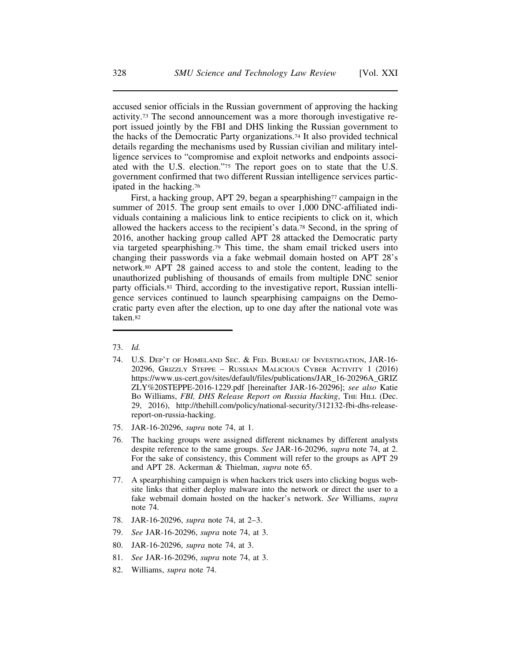accused senior officials in the Russian government of approving the hacking activity.73 The second announcement was a more thorough investigative report issued jointly by the FBI and DHS linking the Russian government to the hacks of the Democratic Party organizations.74 It also provided technical details regarding the mechanisms used by Russian civilian and military intelligence services to "compromise and exploit networks and endpoints associated with the U.S. election."75 The report goes on to state that the U.S. government confirmed that two different Russian intelligence services participated in the hacking.76

First, a hacking group, APT 29, began a spearphishing<sup>77</sup> campaign in the summer of 2015. The group sent emails to over 1,000 DNC-affiliated individuals containing a malicious link to entice recipients to click on it, which allowed the hackers access to the recipient's data.78 Second, in the spring of 2016, another hacking group called APT 28 attacked the Democratic party via targeted spearphishing.79 This time, the sham email tricked users into changing their passwords via a fake webmail domain hosted on APT 28's network.80 APT 28 gained access to and stole the content, leading to the unauthorized publishing of thousands of emails from multiple DNC senior party officials.81 Third, according to the investigative report, Russian intelligence services continued to launch spearphising campaigns on the Democratic party even after the election, up to one day after the national vote was taken.82

- 75. JAR-16-20296, *supra* note 74, at 1.
- 76. The hacking groups were assigned different nicknames by different analysts despite reference to the same groups. *See* JAR-16-20296, *supra* note 74, at 2. For the sake of consistency, this Comment will refer to the groups as APT 29 and APT 28. Ackerman & Thielman, *supra* note 65.
- 77. A spearphishing campaign is when hackers trick users into clicking bogus website links that either deploy malware into the network or direct the user to a fake webmail domain hosted on the hacker's network. *See* Williams, *supra* note 74.
- 78. JAR-16-20296, *supra* note 74, at 2–3.
- 79. *See* JAR-16-20296, *supra* note 74, at 3.
- 80. JAR-16-20296, *supra* note 74, at 3.
- 81. *See* JAR-16-20296, *supra* note 74, at 3.
- 82. Williams, *supra* note 74.

<sup>73.</sup> *Id.*

<sup>74.</sup> U.S. DEP'T OF HOMELAND SEC. & FED. BUREAU OF INVESTIGATION, JAR-16- 20296, GRIZZLY STEPPE – RUSSIAN MALICIOUS CYBER ACTIVITY 1 (2016) https://www.us-cert.gov/sites/default/files/publications/JAR\_16-20296A\_GRIZ ZLY%20STEPPE-2016-1229.pdf [hereinafter JAR-16-20296]; *see also* Katie Bo Williams, *FBI, DHS Release Report on Russia Hacking*, THE HILL (Dec. 29, 2016), http://thehill.com/policy/national-security/312132-fbi-dhs-releasereport-on-russia-hacking.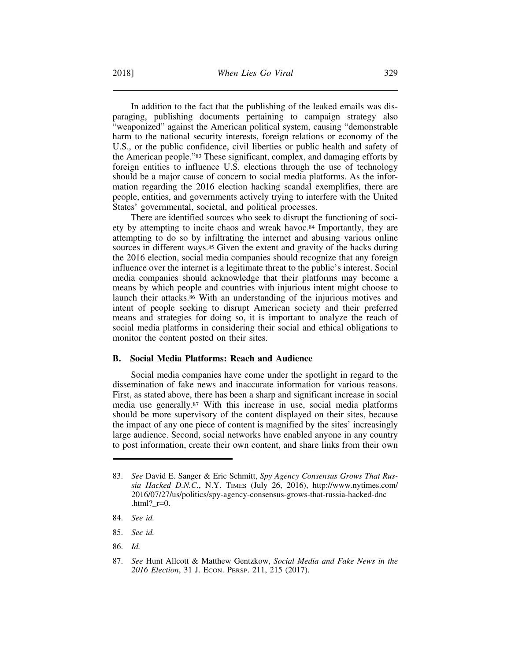In addition to the fact that the publishing of the leaked emails was disparaging, publishing documents pertaining to campaign strategy also "weaponized" against the American political system, causing "demonstrable harm to the national security interests, foreign relations or economy of the U.S., or the public confidence, civil liberties or public health and safety of the American people."83 These significant, complex, and damaging efforts by foreign entities to influence U.S. elections through the use of technology should be a major cause of concern to social media platforms. As the information regarding the 2016 election hacking scandal exemplifies, there are people, entities, and governments actively trying to interfere with the United States' governmental, societal, and political processes.

There are identified sources who seek to disrupt the functioning of society by attempting to incite chaos and wreak havoc.84 Importantly, they are attempting to do so by infiltrating the internet and abusing various online sources in different ways.<sup>85</sup> Given the extent and gravity of the hacks during the 2016 election, social media companies should recognize that any foreign influence over the internet is a legitimate threat to the public's interest. Social media companies should acknowledge that their platforms may become a means by which people and countries with injurious intent might choose to launch their attacks.86 With an understanding of the injurious motives and intent of people seeking to disrupt American society and their preferred means and strategies for doing so, it is important to analyze the reach of social media platforms in considering their social and ethical obligations to monitor the content posted on their sites.

#### **B. Social Media Platforms: Reach and Audience**

Social media companies have come under the spotlight in regard to the dissemination of fake news and inaccurate information for various reasons. First, as stated above, there has been a sharp and significant increase in social media use generally.87 With this increase in use, social media platforms should be more supervisory of the content displayed on their sites, because the impact of any one piece of content is magnified by the sites' increasingly large audience. Second, social networks have enabled anyone in any country to post information, create their own content, and share links from their own

- 85. *See id.*
- 86. *Id.*

<sup>83.</sup> *See* David E. Sanger & Eric Schmitt, *Spy Agency Consensus Grows That Russia Hacked D.N.C.*, N.Y. TIMES (July 26, 2016), http://www.nytimes.com/ 2016/07/27/us/politics/spy-agency-consensus-grows-that-russia-hacked-dnc .html?  $r=0$ .

<sup>84.</sup> *See id.*

<sup>87.</sup> *See* Hunt Allcott & Matthew Gentzkow, *Social Media and Fake News in the 2016 Election*, 31 J. ECON. PERSP. 211, 215 (2017).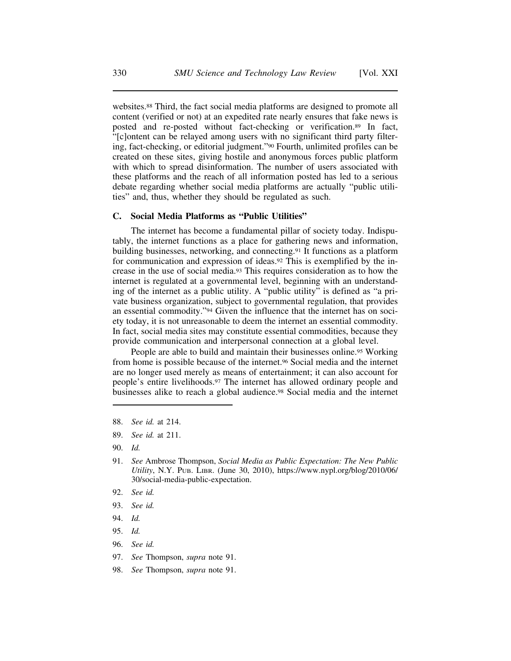websites.88 Third, the fact social media platforms are designed to promote all content (verified or not) at an expedited rate nearly ensures that fake news is posted and re-posted without fact-checking or verification.89 In fact, "[c]ontent can be relayed among users with no significant third party filtering, fact-checking, or editorial judgment."90 Fourth, unlimited profiles can be created on these sites, giving hostile and anonymous forces public platform with which to spread disinformation. The number of users associated with these platforms and the reach of all information posted has led to a serious debate regarding whether social media platforms are actually "public utilities" and, thus, whether they should be regulated as such.

#### **C. Social Media Platforms as "Public Utilities"**

The internet has become a fundamental pillar of society today. Indisputably, the internet functions as a place for gathering news and information, building businesses, networking, and connecting.91 It functions as a platform for communication and expression of ideas.92 This is exemplified by the increase in the use of social media.93 This requires consideration as to how the internet is regulated at a governmental level, beginning with an understanding of the internet as a public utility. A "public utility" is defined as "a private business organization, subject to governmental regulation, that provides an essential commodity."94 Given the influence that the internet has on society today, it is not unreasonable to deem the internet an essential commodity. In fact, social media sites may constitute essential commodities, because they provide communication and interpersonal connection at a global level.

People are able to build and maintain their businesses online.95 Working from home is possible because of the internet.96 Social media and the internet are no longer used merely as means of entertainment; it can also account for people's entire livelihoods.97 The internet has allowed ordinary people and businesses alike to reach a global audience.98 Social media and the internet

- 88. *See id.* at 214.
- 89. *See id.* at 211.
- 90. *Id.*
- 91. *See* Ambrose Thompson, *Social Media as Public Expectation: The New Public Utility*, N.Y. PUB. LIBR. (June 30, 2010), https://www.nypl.org/blog/2010/06/ 30/social-media-public-expectation.
- 92. *See id.*
- 93. *See id.*
- 94. *Id.*
- 95. *Id.*
- 96. *See id.*
- 97. *See* Thompson, *supra* note 91.
- 98. *See* Thompson, *supra* note 91.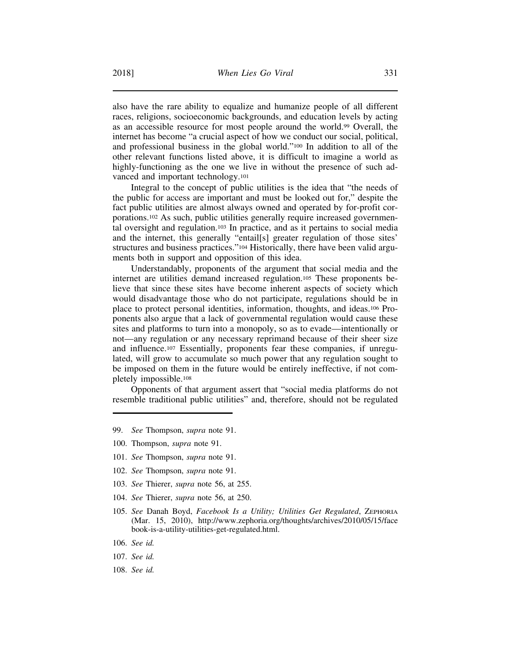also have the rare ability to equalize and humanize people of all different races, religions, socioeconomic backgrounds, and education levels by acting as an accessible resource for most people around the world.99 Overall, the internet has become "a crucial aspect of how we conduct our social, political, and professional business in the global world."100 In addition to all of the other relevant functions listed above, it is difficult to imagine a world as highly-functioning as the one we live in without the presence of such advanced and important technology.101

Integral to the concept of public utilities is the idea that "the needs of the public for access are important and must be looked out for," despite the fact public utilities are almost always owned and operated by for-profit corporations.102 As such, public utilities generally require increased governmental oversight and regulation.103 In practice, and as it pertains to social media and the internet, this generally "entail[s] greater regulation of those sites' structures and business practices."104 Historically, there have been valid arguments both in support and opposition of this idea.

Understandably, proponents of the argument that social media and the internet are utilities demand increased regulation.105 These proponents believe that since these sites have become inherent aspects of society which would disadvantage those who do not participate, regulations should be in place to protect personal identities, information, thoughts, and ideas.106 Proponents also argue that a lack of governmental regulation would cause these sites and platforms to turn into a monopoly, so as to evade—intentionally or not—any regulation or any necessary reprimand because of their sheer size and influence.107 Essentially, proponents fear these companies, if unregulated, will grow to accumulate so much power that any regulation sought to be imposed on them in the future would be entirely ineffective, if not completely impossible.108

Opponents of that argument assert that "social media platforms do not resemble traditional public utilities" and, therefore, should not be regulated

- 99. *See* Thompson, *supra* note 91.
- 100. Thompson, *supra* note 91.
- 101. *See* Thompson, *supra* note 91.
- 102. *See* Thompson, *supra* note 91.
- 103. *See* Thierer, *supra* note 56, at 255.
- 104. *See* Thierer, *supra* note 56, at 250.
- 105. *See* Danah Boyd, *Facebook Is a Utility; Utilities Get Regulated*, ZEPHORIA (Mar. 15, 2010), http://www.zephoria.org/thoughts/archives/2010/05/15/face book-is-a-utility-utilities-get-regulated.html.
- 106. *See id.*
- 107. *See id.*
- 108. *See id.*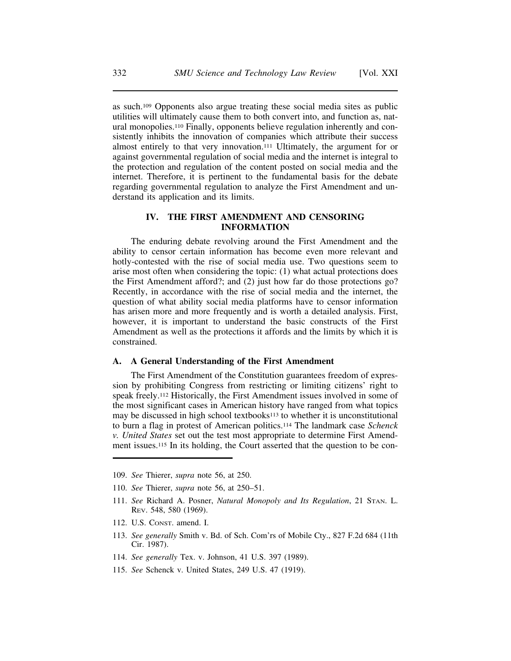as such.109 Opponents also argue treating these social media sites as public utilities will ultimately cause them to both convert into, and function as, natural monopolies.110 Finally, opponents believe regulation inherently and consistently inhibits the innovation of companies which attribute their success almost entirely to that very innovation.111 Ultimately, the argument for or against governmental regulation of social media and the internet is integral to the protection and regulation of the content posted on social media and the internet. Therefore, it is pertinent to the fundamental basis for the debate regarding governmental regulation to analyze the First Amendment and understand its application and its limits.

## **IV. THE FIRST AMENDMENT AND CENSORING INFORMATION**

The enduring debate revolving around the First Amendment and the ability to censor certain information has become even more relevant and hotly-contested with the rise of social media use. Two questions seem to arise most often when considering the topic: (1) what actual protections does the First Amendment afford?; and (2) just how far do those protections go? Recently, in accordance with the rise of social media and the internet, the question of what ability social media platforms have to censor information has arisen more and more frequently and is worth a detailed analysis. First, however, it is important to understand the basic constructs of the First Amendment as well as the protections it affords and the limits by which it is constrained.

#### **A. A General Understanding of the First Amendment**

The First Amendment of the Constitution guarantees freedom of expression by prohibiting Congress from restricting or limiting citizens' right to speak freely.112 Historically, the First Amendment issues involved in some of the most significant cases in American history have ranged from what topics may be discussed in high school textbooks<sup>113</sup> to whether it is unconstitutional to burn a flag in protest of American politics.114 The landmark case *Schenck v. United States* set out the test most appropriate to determine First Amendment issues.115 In its holding, the Court asserted that the question to be con-

- 114. *See generally* Tex. v. Johnson, 41 U.S. 397 (1989).
- 115. *See* Schenck v. United States, 249 U.S. 47 (1919).

<sup>109.</sup> *See* Thierer, *supra* note 56, at 250.

<sup>110.</sup> *See* Thierer, *supra* note 56, at 250–51.

<sup>111.</sup> *See* Richard A. Posner, *Natural Monopoly and Its Regulation*, 21 STAN. L. REV. 548, 580 (1969).

<sup>112.</sup> U.S. CONST. amend. I.

<sup>113.</sup> *See generally* Smith v. Bd. of Sch. Com'rs of Mobile Cty., 827 F.2d 684 (11th Cir. 1987).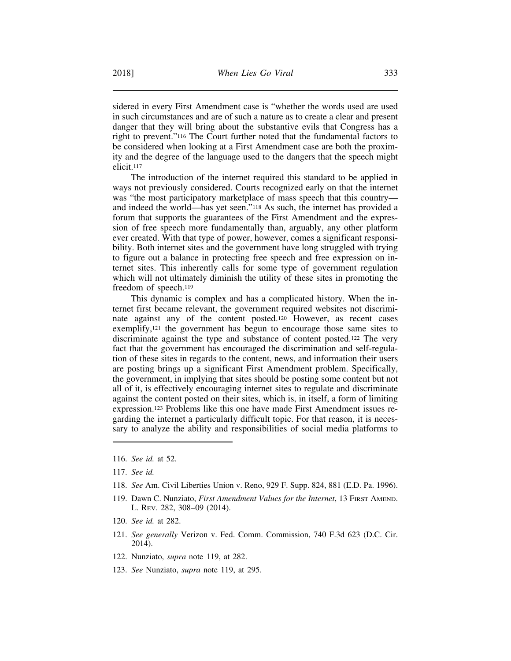sidered in every First Amendment case is "whether the words used are used in such circumstances and are of such a nature as to create a clear and present danger that they will bring about the substantive evils that Congress has a right to prevent."116 The Court further noted that the fundamental factors to be considered when looking at a First Amendment case are both the proximity and the degree of the language used to the dangers that the speech might elicit.117

The introduction of the internet required this standard to be applied in ways not previously considered. Courts recognized early on that the internet was "the most participatory marketplace of mass speech that this country and indeed the world—has yet seen."118 As such, the internet has provided a forum that supports the guarantees of the First Amendment and the expression of free speech more fundamentally than, arguably, any other platform ever created. With that type of power, however, comes a significant responsibility. Both internet sites and the government have long struggled with trying to figure out a balance in protecting free speech and free expression on internet sites. This inherently calls for some type of government regulation which will not ultimately diminish the utility of these sites in promoting the freedom of speech.119

This dynamic is complex and has a complicated history. When the internet first became relevant, the government required websites not discriminate against any of the content posted.120 However, as recent cases exemplify,<sup>121</sup> the government has begun to encourage those same sites to discriminate against the type and substance of content posted.122 The very fact that the government has encouraged the discrimination and self-regulation of these sites in regards to the content, news, and information their users are posting brings up a significant First Amendment problem. Specifically, the government, in implying that sites should be posting some content but not all of it, is effectively encouraging internet sites to regulate and discriminate against the content posted on their sites, which is, in itself, a form of limiting expression.123 Problems like this one have made First Amendment issues regarding the internet a particularly difficult topic. For that reason, it is necessary to analyze the ability and responsibilities of social media platforms to

- 118. *See* Am. Civil Liberties Union v. Reno, 929 F. Supp. 824, 881 (E.D. Pa. 1996).
- 119. Dawn C. Nunziato, *First Amendment Values for the Internet*, 13 FIRST AMEND. L. REV. 282, 308–09 (2014).
- 120. *See id.* at 282.
- 121. *See generally* Verizon v. Fed. Comm. Commission, 740 F.3d 623 (D.C. Cir. 2014).
- 122. Nunziato, *supra* note 119, at 282.
- 123. *See* Nunziato, *supra* note 119, at 295.

<sup>116.</sup> *See id.* at 52.

<sup>117.</sup> *See id.*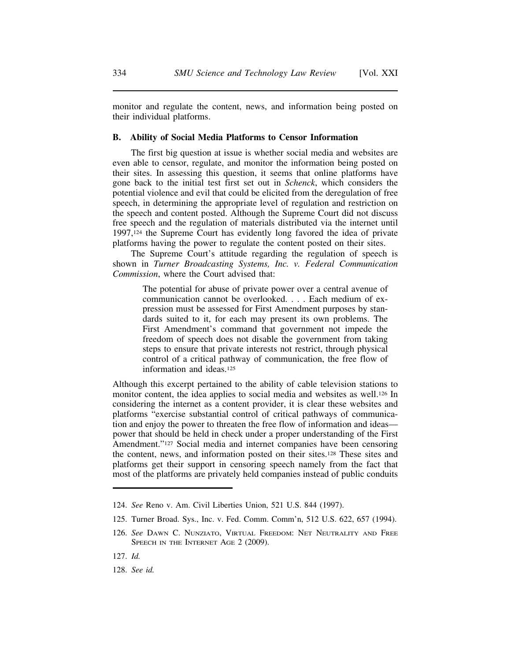monitor and regulate the content, news, and information being posted on their individual platforms.

## **B. Ability of Social Media Platforms to Censor Information**

The first big question at issue is whether social media and websites are even able to censor, regulate, and monitor the information being posted on their sites. In assessing this question, it seems that online platforms have gone back to the initial test first set out in *Schenck*, which considers the potential violence and evil that could be elicited from the deregulation of free speech, in determining the appropriate level of regulation and restriction on the speech and content posted. Although the Supreme Court did not discuss free speech and the regulation of materials distributed via the internet until 1997,124 the Supreme Court has evidently long favored the idea of private platforms having the power to regulate the content posted on their sites.

The Supreme Court's attitude regarding the regulation of speech is shown in *Turner Broadcasting Systems, Inc. v. Federal Communication Commission*, where the Court advised that:

> The potential for abuse of private power over a central avenue of communication cannot be overlooked. . . . Each medium of expression must be assessed for First Amendment purposes by standards suited to it, for each may present its own problems. The First Amendment's command that government not impede the freedom of speech does not disable the government from taking steps to ensure that private interests not restrict, through physical control of a critical pathway of communication, the free flow of information and ideas.125

Although this excerpt pertained to the ability of cable television stations to monitor content, the idea applies to social media and websites as well.126 In considering the internet as a content provider, it is clear these websites and platforms "exercise substantial control of critical pathways of communication and enjoy the power to threaten the free flow of information and ideas power that should be held in check under a proper understanding of the First Amendment."127 Social media and internet companies have been censoring the content, news, and information posted on their sites.128 These sites and platforms get their support in censoring speech namely from the fact that most of the platforms are privately held companies instead of public conduits

125. Turner Broad. Sys., Inc. v. Fed. Comm. Comm'n, 512 U.S. 622, 657 (1994).

- 127. *Id.*
- 128. *See id.*

<sup>124.</sup> *See* Reno v. Am. Civil Liberties Union, 521 U.S. 844 (1997).

<sup>126.</sup> *See* DAWN C. NUNZIATO, VIRTUAL FREEDOM: NET NEUTRALITY AND FREE SPEECH IN THE INTERNET AGE 2 (2009).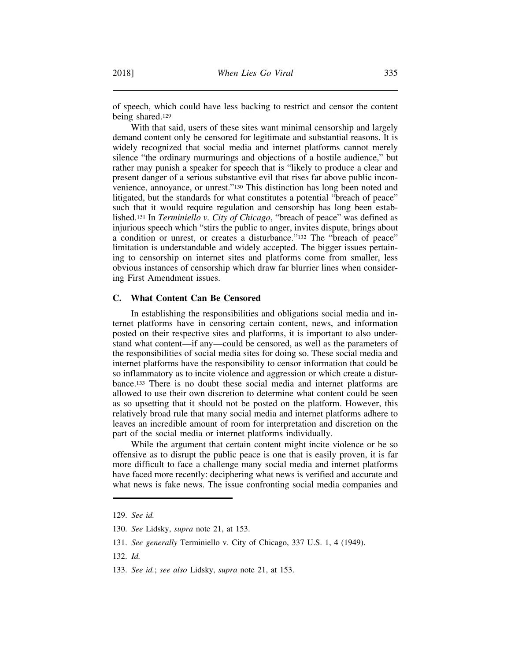of speech, which could have less backing to restrict and censor the content being shared.129

With that said, users of these sites want minimal censorship and largely demand content only be censored for legitimate and substantial reasons. It is widely recognized that social media and internet platforms cannot merely silence "the ordinary murmurings and objections of a hostile audience," but rather may punish a speaker for speech that is "likely to produce a clear and present danger of a serious substantive evil that rises far above public inconvenience, annoyance, or unrest."130 This distinction has long been noted and litigated, but the standards for what constitutes a potential "breach of peace" such that it would require regulation and censorship has long been established.131 In *Terminiello v. City of Chicago*, "breach of peace" was defined as injurious speech which "stirs the public to anger, invites dispute, brings about a condition or unrest, or creates a disturbance."132 The "breach of peace" limitation is understandable and widely accepted. The bigger issues pertaining to censorship on internet sites and platforms come from smaller, less obvious instances of censorship which draw far blurrier lines when considering First Amendment issues.

### **C. What Content Can Be Censored**

In establishing the responsibilities and obligations social media and internet platforms have in censoring certain content, news, and information posted on their respective sites and platforms, it is important to also understand what content—if any—could be censored, as well as the parameters of the responsibilities of social media sites for doing so. These social media and internet platforms have the responsibility to censor information that could be so inflammatory as to incite violence and aggression or which create a disturbance.133 There is no doubt these social media and internet platforms are allowed to use their own discretion to determine what content could be seen as so upsetting that it should not be posted on the platform. However, this relatively broad rule that many social media and internet platforms adhere to leaves an incredible amount of room for interpretation and discretion on the part of the social media or internet platforms individually.

While the argument that certain content might incite violence or be so offensive as to disrupt the public peace is one that is easily proven, it is far more difficult to face a challenge many social media and internet platforms have faced more recently: deciphering what news is verified and accurate and what news is fake news. The issue confronting social media companies and

- 131. *See generally* Terminiello v. City of Chicago, 337 U.S. 1, 4 (1949).
- 132. *Id.*
- 133. *See id.*; *see also* Lidsky, *supra* note 21, at 153.

<sup>129.</sup> *See id.*

<sup>130.</sup> *See* Lidsky, *supra* note 21, at 153.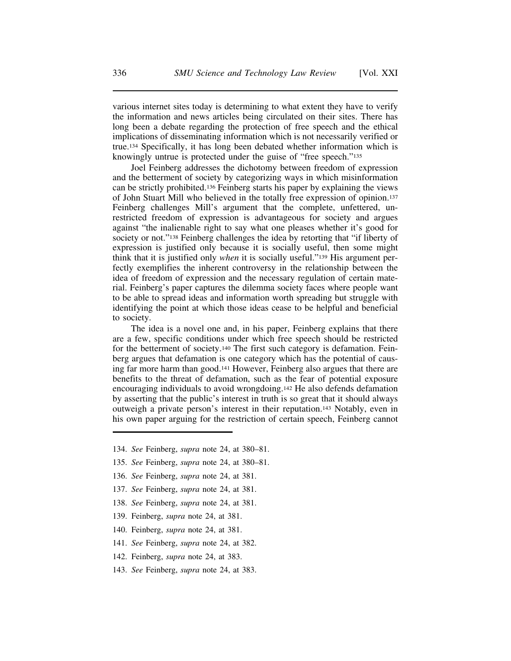various internet sites today is determining to what extent they have to verify the information and news articles being circulated on their sites. There has long been a debate regarding the protection of free speech and the ethical implications of disseminating information which is not necessarily verified or true.134 Specifically, it has long been debated whether information which is knowingly untrue is protected under the guise of "free speech."135

Joel Feinberg addresses the dichotomy between freedom of expression and the betterment of society by categorizing ways in which misinformation can be strictly prohibited.136 Feinberg starts his paper by explaining the views of John Stuart Mill who believed in the totally free expression of opinion.137 Feinberg challenges Mill's argument that the complete, unfettered, unrestricted freedom of expression is advantageous for society and argues against "the inalienable right to say what one pleases whether it's good for society or not."138 Feinberg challenges the idea by retorting that "if liberty of expression is justified only because it is socially useful, then some might think that it is justified only *when* it is socially useful."139 His argument perfectly exemplifies the inherent controversy in the relationship between the idea of freedom of expression and the necessary regulation of certain material. Feinberg's paper captures the dilemma society faces where people want to be able to spread ideas and information worth spreading but struggle with identifying the point at which those ideas cease to be helpful and beneficial to society.

The idea is a novel one and, in his paper, Feinberg explains that there are a few, specific conditions under which free speech should be restricted for the betterment of society.140 The first such category is defamation. Feinberg argues that defamation is one category which has the potential of causing far more harm than good.141 However, Feinberg also argues that there are benefits to the threat of defamation, such as the fear of potential exposure encouraging individuals to avoid wrongdoing.142 He also defends defamation by asserting that the public's interest in truth is so great that it should always outweigh a private person's interest in their reputation.143 Notably, even in his own paper arguing for the restriction of certain speech, Feinberg cannot

- 134. *See* Feinberg, *supra* note 24, at 380–81.
- 135. *See* Feinberg, *supra* note 24, at 380–81.
- 136. *See* Feinberg, *supra* note 24, at 381.
- 137. *See* Feinberg, *supra* note 24, at 381.
- 138. *See* Feinberg, *supra* note 24, at 381.
- 139. Feinberg, *supra* note 24, at 381.
- 140. Feinberg, *supra* note 24, at 381.
- 141. *See* Feinberg, *supra* note 24, at 382.
- 142. Feinberg, *supra* note 24, at 383.
- 143. *See* Feinberg, *supra* note 24, at 383.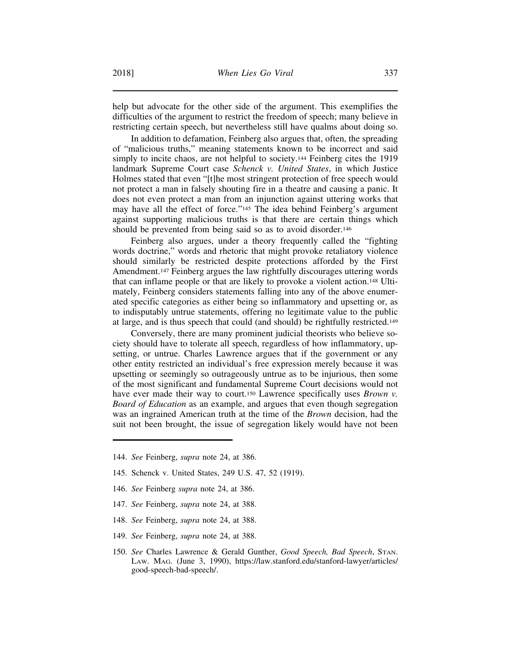help but advocate for the other side of the argument. This exemplifies the difficulties of the argument to restrict the freedom of speech; many believe in restricting certain speech, but nevertheless still have qualms about doing so.

In addition to defamation, Feinberg also argues that, often, the spreading of "malicious truths," meaning statements known to be incorrect and said simply to incite chaos, are not helpful to society.144 Feinberg cites the 1919 landmark Supreme Court case *Schenck v. United States*, in which Justice Holmes stated that even "[t]he most stringent protection of free speech would not protect a man in falsely shouting fire in a theatre and causing a panic. It does not even protect a man from an injunction against uttering works that may have all the effect of force."145 The idea behind Feinberg's argument against supporting malicious truths is that there are certain things which should be prevented from being said so as to avoid disorder.<sup>146</sup>

Feinberg also argues, under a theory frequently called the "fighting words doctrine," words and rhetoric that might provoke retaliatory violence should similarly be restricted despite protections afforded by the First Amendment.147 Feinberg argues the law rightfully discourages uttering words that can inflame people or that are likely to provoke a violent action.148 Ultimately, Feinberg considers statements falling into any of the above enumerated specific categories as either being so inflammatory and upsetting or, as to indisputably untrue statements, offering no legitimate value to the public at large, and is thus speech that could (and should) be rightfully restricted.149

Conversely, there are many prominent judicial theorists who believe society should have to tolerate all speech, regardless of how inflammatory, upsetting, or untrue. Charles Lawrence argues that if the government or any other entity restricted an individual's free expression merely because it was upsetting or seemingly so outrageously untrue as to be injurious, then some of the most significant and fundamental Supreme Court decisions would not have ever made their way to court.150 Lawrence specifically uses *Brown v. Board of Education* as an example, and argues that even though segregation was an ingrained American truth at the time of the *Brown* decision, had the suit not been brought, the issue of segregation likely would have not been

- 144. *See* Feinberg, *supra* note 24, at 386.
- 145. Schenck v. United States, 249 U.S. 47, 52 (1919).
- 146. *See* Feinberg *supra* note 24, at 386.
- 147. *See* Feinberg, *supra* note 24, at 388.
- 148. *See* Feinberg, *supra* note 24, at 388.
- 149. *See* Feinberg, *supra* note 24, at 388.
- 150. *See* Charles Lawrence & Gerald Gunther, *Good Speech, Bad Speech*, STAN. LAW. MAG. (June 3, 1990), https://law.stanford.edu/stanford-lawyer/articles/ good-speech-bad-speech/.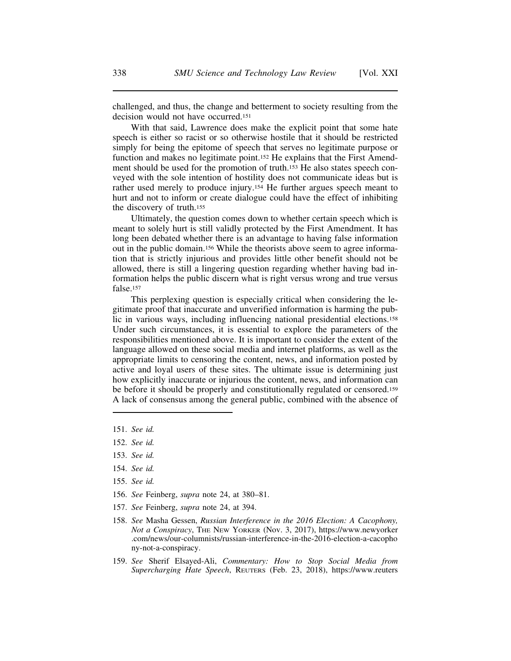challenged, and thus, the change and betterment to society resulting from the decision would not have occurred.151

With that said, Lawrence does make the explicit point that some hate speech is either so racist or so otherwise hostile that it should be restricted simply for being the epitome of speech that serves no legitimate purpose or function and makes no legitimate point.152 He explains that the First Amendment should be used for the promotion of truth.153 He also states speech conveyed with the sole intention of hostility does not communicate ideas but is rather used merely to produce injury.154 He further argues speech meant to hurt and not to inform or create dialogue could have the effect of inhibiting the discovery of truth.155

Ultimately, the question comes down to whether certain speech which is meant to solely hurt is still validly protected by the First Amendment. It has long been debated whether there is an advantage to having false information out in the public domain.156 While the theorists above seem to agree information that is strictly injurious and provides little other benefit should not be allowed, there is still a lingering question regarding whether having bad information helps the public discern what is right versus wrong and true versus false.157

This perplexing question is especially critical when considering the legitimate proof that inaccurate and unverified information is harming the public in various ways, including influencing national presidential elections.158 Under such circumstances, it is essential to explore the parameters of the responsibilities mentioned above. It is important to consider the extent of the language allowed on these social media and internet platforms, as well as the appropriate limits to censoring the content, news, and information posted by active and loyal users of these sites. The ultimate issue is determining just how explicitly inaccurate or injurious the content, news, and information can be before it should be properly and constitutionally regulated or censored.159 A lack of consensus among the general public, combined with the absence of

- 151. *See id.*
- 152. *See id.*
- 153. *See id.*
- 154. *See id.*
- 155. *See id.*
- 156. *See* Feinberg, *supra* note 24, at 380–81.
- 157. *See* Feinberg, *supra* note 24, at 394.
- 158. *See* Masha Gessen, *Russian Interference in the 2016 Election: A Cacophony, Not a Conspiracy*, THE NEW YORKER (Nov. 3, 2017), https://www.newyorker .com/news/our-columnists/russian-interference-in-the-2016-election-a-cacopho ny-not-a-conspiracy.
- 159. *See* Sherif Elsayed-Ali, *Commentary: How to Stop Social Media from Supercharging Hate Speech*, REUTERS (Feb. 23, 2018), https://www.reuters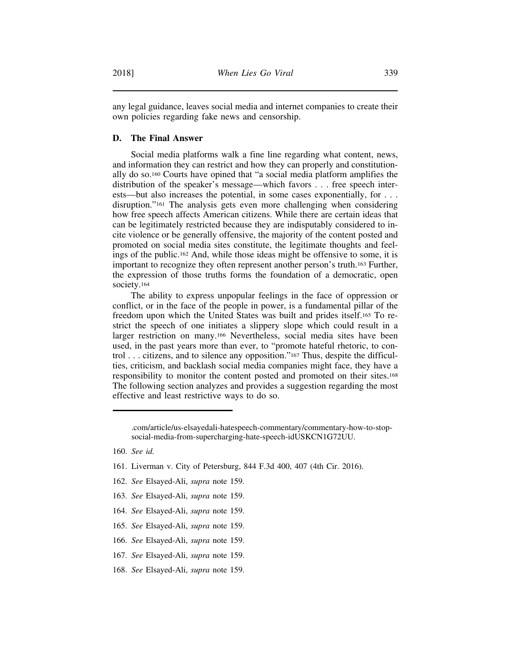any legal guidance, leaves social media and internet companies to create their own policies regarding fake news and censorship.

#### **D. The Final Answer**

Social media platforms walk a fine line regarding what content, news, and information they can restrict and how they can properly and constitutionally do so.160 Courts have opined that "a social media platform amplifies the distribution of the speaker's message—which favors . . . free speech interests—but also increases the potential, in some cases exponentially, for . . . disruption."161 The analysis gets even more challenging when considering how free speech affects American citizens. While there are certain ideas that can be legitimately restricted because they are indisputably considered to incite violence or be generally offensive, the majority of the content posted and promoted on social media sites constitute, the legitimate thoughts and feelings of the public.162 And, while those ideas might be offensive to some, it is important to recognize they often represent another person's truth.163 Further, the expression of those truths forms the foundation of a democratic, open society.164

The ability to express unpopular feelings in the face of oppression or conflict, or in the face of the people in power, is a fundamental pillar of the freedom upon which the United States was built and prides itself.165 To restrict the speech of one initiates a slippery slope which could result in a larger restriction on many.166 Nevertheless, social media sites have been used, in the past years more than ever, to "promote hateful rhetoric, to control . . . citizens, and to silence any opposition."167 Thus, despite the difficulties, criticism, and backlash social media companies might face, they have a responsibility to monitor the content posted and promoted on their sites.168 The following section analyzes and provides a suggestion regarding the most effective and least restrictive ways to do so.

- 162. *See* Elsayed-Ali, *supra* note 159.
- 163. *See* Elsayed-Ali, *supra* note 159.
- 164. *See* Elsayed-Ali, *supra* note 159.
- 165. *See* Elsayed-Ali, *supra* note 159.
- 166. *See* Elsayed-Ali, *supra* note 159.
- 167. *See* Elsayed-Ali, *supra* note 159.
- 168. *See* Elsayed-Ali, *supra* note 159.

<sup>.</sup>com/article/us-elsayedali-hatespeech-commentary/commentary-how-to-stopsocial-media-from-supercharging-hate-speech-idUSKCN1G72UU.

<sup>160.</sup> *See id.*

<sup>161.</sup> Liverman v. City of Petersburg, 844 F.3d 400, 407 (4th Cir. 2016).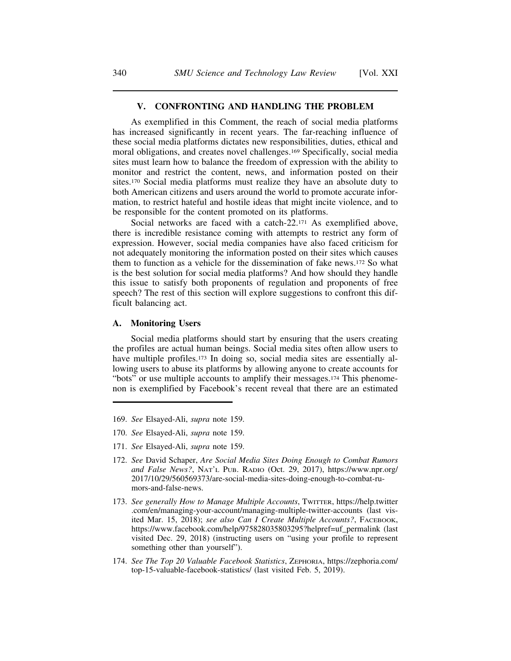#### **V. CONFRONTING AND HANDLING THE PROBLEM**

As exemplified in this Comment, the reach of social media platforms has increased significantly in recent years. The far-reaching influence of these social media platforms dictates new responsibilities, duties, ethical and moral obligations, and creates novel challenges.169 Specifically, social media sites must learn how to balance the freedom of expression with the ability to monitor and restrict the content, news, and information posted on their sites.170 Social media platforms must realize they have an absolute duty to both American citizens and users around the world to promote accurate information, to restrict hateful and hostile ideas that might incite violence, and to be responsible for the content promoted on its platforms.

Social networks are faced with a catch-22.171 As exemplified above, there is incredible resistance coming with attempts to restrict any form of expression. However, social media companies have also faced criticism for not adequately monitoring the information posted on their sites which causes them to function as a vehicle for the dissemination of fake news.172 So what is the best solution for social media platforms? And how should they handle this issue to satisfy both proponents of regulation and proponents of free speech? The rest of this section will explore suggestions to confront this difficult balancing act.

#### **A. Monitoring Users**

Social media platforms should start by ensuring that the users creating the profiles are actual human beings. Social media sites often allow users to have multiple profiles.<sup>173</sup> In doing so, social media sites are essentially allowing users to abuse its platforms by allowing anyone to create accounts for "bots" or use multiple accounts to amplify their messages.174 This phenomenon is exemplified by Facebook's recent reveal that there are an estimated

- 169. *See* Elsayed-Ali, *supra* note 159.
- 170. *See* Elsayed-Ali, *supra* note 159.
- 171. *See* Elsayed-Ali, *supra* note 159.
- 172. *See* David Schaper, *Are Social Media Sites Doing Enough to Combat Rumors and False News?*, NAT'L PUB. RADIO (Oct. 29, 2017), https://www.npr.org/ 2017/10/29/560569373/are-social-media-sites-doing-enough-to-combat-rumors-and-false-news.
- 173. *See generally How to Manage Multiple Accounts*, TWITTER, https://help.twitter .com/en/managing-your-account/managing-multiple-twitter-accounts (last visited Mar. 15, 2018); *see also Can I Create Multiple Accounts?*, FACEBOOK, https://www.facebook.com/help/975828035803295?helpref=uf\_permalink (last visited Dec. 29, 2018) (instructing users on "using your profile to represent something other than yourself").
- 174. *See The Top 20 Valuable Facebook Statistics*, ZEPHORIA, https://zephoria.com/ top-15-valuable-facebook-statistics/ (last visited Feb. 5, 2019).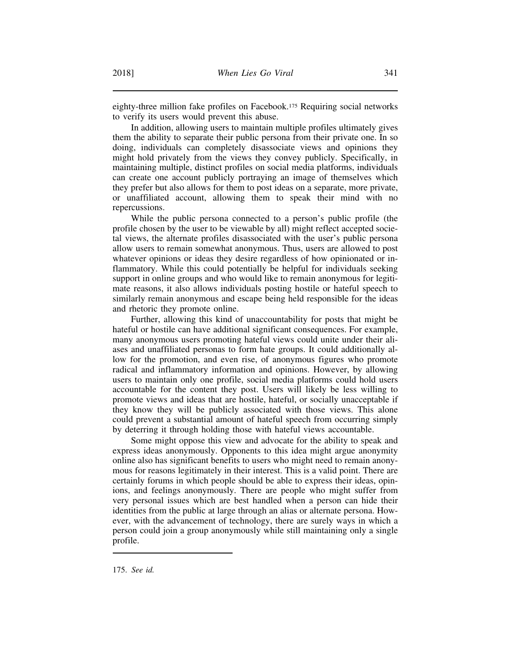eighty-three million fake profiles on Facebook.175 Requiring social networks to verify its users would prevent this abuse.

In addition, allowing users to maintain multiple profiles ultimately gives them the ability to separate their public persona from their private one. In so doing, individuals can completely disassociate views and opinions they might hold privately from the views they convey publicly. Specifically, in maintaining multiple, distinct profiles on social media platforms, individuals can create one account publicly portraying an image of themselves which they prefer but also allows for them to post ideas on a separate, more private, or unaffiliated account, allowing them to speak their mind with no repercussions.

While the public persona connected to a person's public profile (the profile chosen by the user to be viewable by all) might reflect accepted societal views, the alternate profiles disassociated with the user's public persona allow users to remain somewhat anonymous. Thus, users are allowed to post whatever opinions or ideas they desire regardless of how opinionated or inflammatory. While this could potentially be helpful for individuals seeking support in online groups and who would like to remain anonymous for legitimate reasons, it also allows individuals posting hostile or hateful speech to similarly remain anonymous and escape being held responsible for the ideas and rhetoric they promote online.

Further, allowing this kind of unaccountability for posts that might be hateful or hostile can have additional significant consequences. For example, many anonymous users promoting hateful views could unite under their aliases and unaffiliated personas to form hate groups. It could additionally allow for the promotion, and even rise, of anonymous figures who promote radical and inflammatory information and opinions. However, by allowing users to maintain only one profile, social media platforms could hold users accountable for the content they post. Users will likely be less willing to promote views and ideas that are hostile, hateful, or socially unacceptable if they know they will be publicly associated with those views. This alone could prevent a substantial amount of hateful speech from occurring simply by deterring it through holding those with hateful views accountable.

Some might oppose this view and advocate for the ability to speak and express ideas anonymously. Opponents to this idea might argue anonymity online also has significant benefits to users who might need to remain anonymous for reasons legitimately in their interest. This is a valid point. There are certainly forums in which people should be able to express their ideas, opinions, and feelings anonymously. There are people who might suffer from very personal issues which are best handled when a person can hide their identities from the public at large through an alias or alternate persona. However, with the advancement of technology, there are surely ways in which a person could join a group anonymously while still maintaining only a single profile.

<sup>175.</sup> *See id.*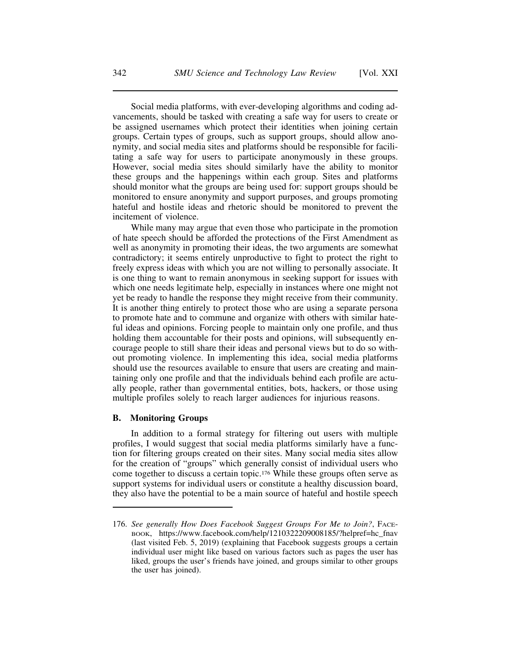Social media platforms, with ever-developing algorithms and coding advancements, should be tasked with creating a safe way for users to create or be assigned usernames which protect their identities when joining certain groups. Certain types of groups, such as support groups, should allow anonymity, and social media sites and platforms should be responsible for facilitating a safe way for users to participate anonymously in these groups. However, social media sites should similarly have the ability to monitor these groups and the happenings within each group. Sites and platforms should monitor what the groups are being used for: support groups should be monitored to ensure anonymity and support purposes, and groups promoting hateful and hostile ideas and rhetoric should be monitored to prevent the incitement of violence.

While many may argue that even those who participate in the promotion of hate speech should be afforded the protections of the First Amendment as well as anonymity in promoting their ideas, the two arguments are somewhat contradictory; it seems entirely unproductive to fight to protect the right to freely express ideas with which you are not willing to personally associate. It is one thing to want to remain anonymous in seeking support for issues with which one needs legitimate help, especially in instances where one might not yet be ready to handle the response they might receive from their community. It is another thing entirely to protect those who are using a separate persona to promote hate and to commune and organize with others with similar hateful ideas and opinions. Forcing people to maintain only one profile, and thus holding them accountable for their posts and opinions, will subsequently encourage people to still share their ideas and personal views but to do so without promoting violence. In implementing this idea, social media platforms should use the resources available to ensure that users are creating and maintaining only one profile and that the individuals behind each profile are actually people, rather than governmental entities, bots, hackers, or those using multiple profiles solely to reach larger audiences for injurious reasons.

#### **B. Monitoring Groups**

In addition to a formal strategy for filtering out users with multiple profiles, I would suggest that social media platforms similarly have a function for filtering groups created on their sites. Many social media sites allow for the creation of "groups" which generally consist of individual users who come together to discuss a certain topic.176 While these groups often serve as support systems for individual users or constitute a healthy discussion board, they also have the potential to be a main source of hateful and hostile speech

<sup>176.</sup> *See generally How Does Facebook Suggest Groups For Me to Join?*, FACE-BOOK, https://www.facebook.com/help/1210322209008185/?helpref=hc\_fnav (last visited Feb. 5, 2019) (explaining that Facebook suggests groups a certain individual user might like based on various factors such as pages the user has liked, groups the user's friends have joined, and groups similar to other groups the user has joined).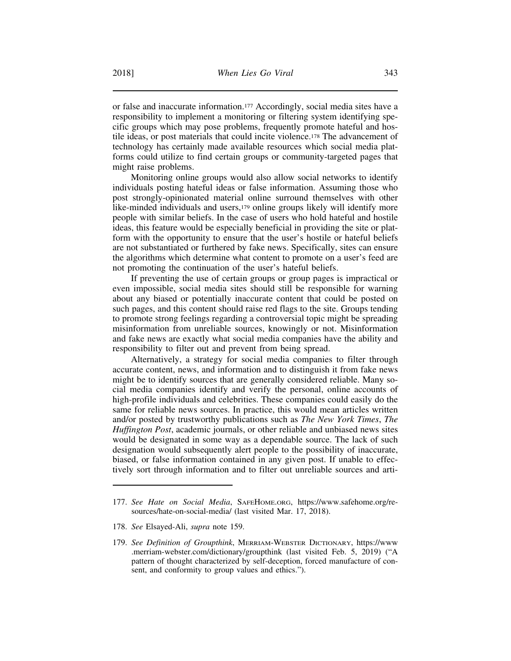or false and inaccurate information.177 Accordingly, social media sites have a responsibility to implement a monitoring or filtering system identifying specific groups which may pose problems, frequently promote hateful and hostile ideas, or post materials that could incite violence.178 The advancement of technology has certainly made available resources which social media platforms could utilize to find certain groups or community-targeted pages that might raise problems.

Monitoring online groups would also allow social networks to identify individuals posting hateful ideas or false information. Assuming those who post strongly-opinionated material online surround themselves with other like-minded individuals and users,<sup>179</sup> online groups likely will identify more people with similar beliefs. In the case of users who hold hateful and hostile ideas, this feature would be especially beneficial in providing the site or platform with the opportunity to ensure that the user's hostile or hateful beliefs are not substantiated or furthered by fake news. Specifically, sites can ensure the algorithms which determine what content to promote on a user's feed are not promoting the continuation of the user's hateful beliefs.

If preventing the use of certain groups or group pages is impractical or even impossible, social media sites should still be responsible for warning about any biased or potentially inaccurate content that could be posted on such pages, and this content should raise red flags to the site. Groups tending to promote strong feelings regarding a controversial topic might be spreading misinformation from unreliable sources, knowingly or not. Misinformation and fake news are exactly what social media companies have the ability and responsibility to filter out and prevent from being spread.

Alternatively, a strategy for social media companies to filter through accurate content, news, and information and to distinguish it from fake news might be to identify sources that are generally considered reliable. Many social media companies identify and verify the personal, online accounts of high-profile individuals and celebrities. These companies could easily do the same for reliable news sources. In practice, this would mean articles written and/or posted by trustworthy publications such as *The New York Times*, *The Huffington Post*, academic journals, or other reliable and unbiased news sites would be designated in some way as a dependable source. The lack of such designation would subsequently alert people to the possibility of inaccurate, biased, or false information contained in any given post. If unable to effectively sort through information and to filter out unreliable sources and arti-

<sup>177.</sup> *See Hate on Social Media*, SAFEHOME.ORG, https://www.safehome.org/resources/hate-on-social-media/ (last visited Mar. 17, 2018).

<sup>178.</sup> *See* Elsayed-Ali, *supra* note 159.

<sup>179.</sup> *See Definition of Groupthink*, MERRIAM-WEBSTER DICTIONARY, https://www .merriam-webster.com/dictionary/groupthink (last visited Feb. 5, 2019) ("A pattern of thought characterized by self-deception, forced manufacture of consent, and conformity to group values and ethics.").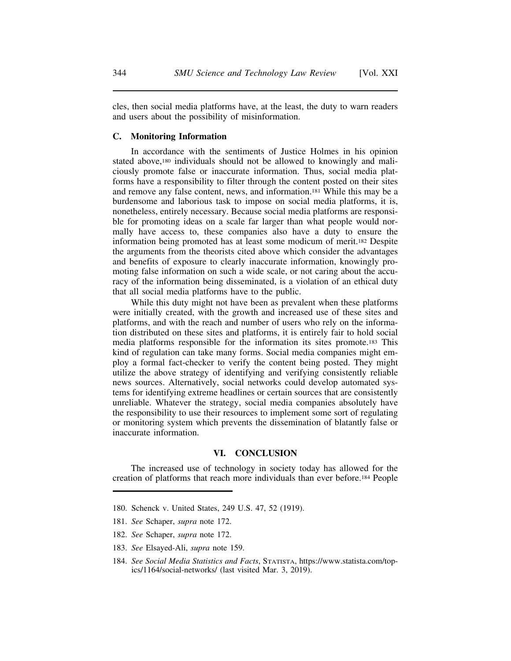cles, then social media platforms have, at the least, the duty to warn readers and users about the possibility of misinformation.

#### **C. Monitoring Information**

In accordance with the sentiments of Justice Holmes in his opinion stated above,180 individuals should not be allowed to knowingly and maliciously promote false or inaccurate information. Thus, social media platforms have a responsibility to filter through the content posted on their sites and remove any false content, news, and information.181 While this may be a burdensome and laborious task to impose on social media platforms, it is, nonetheless, entirely necessary. Because social media platforms are responsible for promoting ideas on a scale far larger than what people would normally have access to, these companies also have a duty to ensure the information being promoted has at least some modicum of merit.182 Despite the arguments from the theorists cited above which consider the advantages and benefits of exposure to clearly inaccurate information, knowingly promoting false information on such a wide scale, or not caring about the accuracy of the information being disseminated, is a violation of an ethical duty that all social media platforms have to the public.

While this duty might not have been as prevalent when these platforms were initially created, with the growth and increased use of these sites and platforms, and with the reach and number of users who rely on the information distributed on these sites and platforms, it is entirely fair to hold social media platforms responsible for the information its sites promote.183 This kind of regulation can take many forms. Social media companies might employ a formal fact-checker to verify the content being posted. They might utilize the above strategy of identifying and verifying consistently reliable news sources. Alternatively, social networks could develop automated systems for identifying extreme headlines or certain sources that are consistently unreliable. Whatever the strategy, social media companies absolutely have the responsibility to use their resources to implement some sort of regulating or monitoring system which prevents the dissemination of blatantly false or inaccurate information.

#### **VI. CONCLUSION**

The increased use of technology in society today has allowed for the creation of platforms that reach more individuals than ever before.184 People

183. *See* Elsayed-Ali, *supra* note 159.

<sup>180.</sup> Schenck v. United States, 249 U.S. 47, 52 (1919).

<sup>181.</sup> *See* Schaper, *supra* note 172.

<sup>182.</sup> *See* Schaper, *supra* note 172.

<sup>184.</sup> *See Social Media Statistics and Facts*, STATISTA, https://www.statista.com/topics/1164/social-networks/ (last visited Mar. 3, 2019).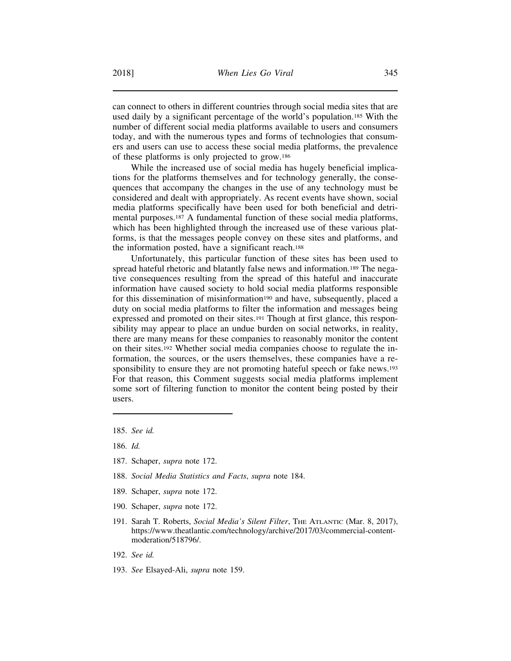can connect to others in different countries through social media sites that are used daily by a significant percentage of the world's population.185 With the number of different social media platforms available to users and consumers today, and with the numerous types and forms of technologies that consumers and users can use to access these social media platforms, the prevalence of these platforms is only projected to grow.186

While the increased use of social media has hugely beneficial implications for the platforms themselves and for technology generally, the consequences that accompany the changes in the use of any technology must be considered and dealt with appropriately. As recent events have shown, social media platforms specifically have been used for both beneficial and detrimental purposes.187 A fundamental function of these social media platforms, which has been highlighted through the increased use of these various platforms, is that the messages people convey on these sites and platforms, and the information posted, have a significant reach.188

Unfortunately, this particular function of these sites has been used to spread hateful rhetoric and blatantly false news and information.189 The negative consequences resulting from the spread of this hateful and inaccurate information have caused society to hold social media platforms responsible for this dissemination of misinformation<sup>190</sup> and have, subsequently, placed a duty on social media platforms to filter the information and messages being expressed and promoted on their sites.191 Though at first glance, this responsibility may appear to place an undue burden on social networks, in reality, there are many means for these companies to reasonably monitor the content on their sites.192 Whether social media companies choose to regulate the information, the sources, or the users themselves, these companies have a responsibility to ensure they are not promoting hateful speech or fake news.<sup>193</sup> For that reason, this Comment suggests social media platforms implement some sort of filtering function to monitor the content being posted by their users.

- 187. Schaper, *supra* note 172.
- 188. *Social Media Statistics and Facts*, *supra* note 184.
- 189. Schaper, *supra* note 172.
- 190. Schaper, *supra* note 172.
- 191. Sarah T. Roberts, *Social Media's Silent Filter*, THE ATLANTIC (Mar. 8, 2017), https://www.theatlantic.com/technology/archive/2017/03/commercial-contentmoderation/518796/.
- 192. *See id.*
- 193. *See* Elsayed-Ali, *supra* note 159.

<sup>185.</sup> *See id.*

<sup>186.</sup> *Id.*